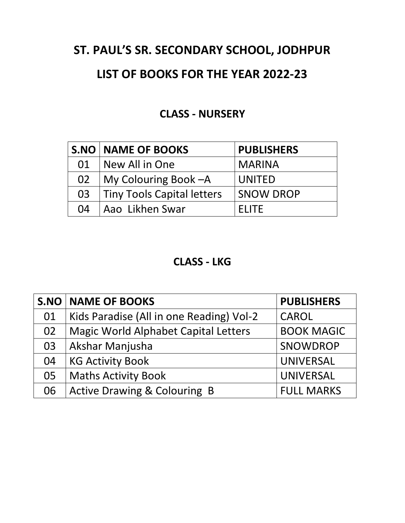# **ST. PAUL'S SR. SECONDARY SCHOOL, JODHPUR**

## **LIST OF BOOKS FOR THE YEAR 2022-23**

### **CLASS - NURSERY**

|    | <b>S.NO   NAME OF BOOKS</b>       | <b>PUBLISHERS</b> |
|----|-----------------------------------|-------------------|
|    | 01   New All in One               | <b>MARINA</b>     |
| 02 | My Colouring Book - A             | UNITED            |
| 03 | <b>Tiny Tools Capital letters</b> | <b>SNOW DROP</b>  |
| 04 | Aao Likhen Swar                   | <b>FLITE</b>      |

#### **CLASS - LKG**

|    | <b>S.NO   NAME OF BOOKS</b>                 | <b>PUBLISHERS</b> |
|----|---------------------------------------------|-------------------|
| 01 | Kids Paradise (All in one Reading) Vol-2    | <b>CAROL</b>      |
| 02 | <b>Magic World Alphabet Capital Letters</b> | <b>BOOK MAGIC</b> |
| 03 | Akshar Manjusha                             | SNOWDROP          |
| 04 | <b>KG Activity Book</b>                     | <b>UNIVERSAL</b>  |
| 05 | <b>Maths Activity Book</b>                  | <b>UNIVERSAL</b>  |
| 06 | <b>Active Drawing &amp; Colouring B</b>     | <b>FULL MARKS</b> |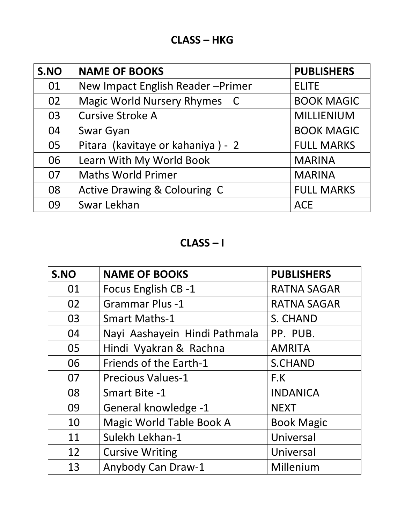| S.NO | <b>NAME OF BOOKS</b>              | <b>PUBLISHERS</b> |
|------|-----------------------------------|-------------------|
| 01   | New Impact English Reader-Primer  | <b>ELITE</b>      |
| 02   | Magic World Nursery Rhymes C      | <b>BOOK MAGIC</b> |
| 03   | <b>Cursive Stroke A</b>           | <b>MILLIENIUM</b> |
| 04   | Swar Gyan                         | <b>BOOK MAGIC</b> |
| 05   | Pitara (kavitaye or kahaniya) - 2 | <b>FULL MARKS</b> |
| 06   | Learn With My World Book          | <b>MARINA</b>     |
| 07   | <b>Maths World Primer</b>         | <b>MARINA</b>     |
| 08   | Active Drawing & Colouring C      | <b>FULL MARKS</b> |
| 09   | Swar Lekhan                       | <b>ACE</b>        |

**CLASS – I**

| S.NO | <b>NAME OF BOOKS</b>          | <b>PUBLISHERS</b>  |
|------|-------------------------------|--------------------|
| 01   | Focus English CB -1           | <b>RATNA SAGAR</b> |
| 02   | <b>Grammar Plus -1</b>        | <b>RATNA SAGAR</b> |
| 03   | <b>Smart Maths-1</b>          | S. CHAND           |
| 04   | Nayi Aashayein Hindi Pathmala | PP. PUB.           |
| 05   | Hindi Vyakran & Rachna        | <b>AMRITA</b>      |
| 06   | Friends of the Earth-1        | <b>S.CHAND</b>     |
| 07   | <b>Precious Values-1</b>      | F.K                |
| 08   | Smart Bite -1                 | <b>INDANICA</b>    |
| 09   | General knowledge -1          | <b>NEXT</b>        |
| 10   | Magic World Table Book A      | <b>Book Magic</b>  |
| 11   | Sulekh Lekhan-1               | Universal          |
| 12   | <b>Cursive Writing</b>        | Universal          |
| 13   | Anybody Can Draw-1            | Millenium          |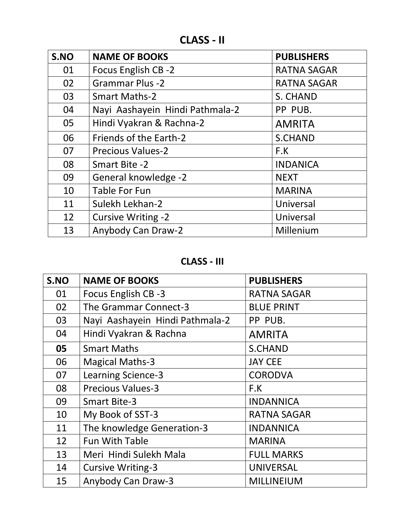**CLASS - II**

| S.NO | <b>NAME OF BOOKS</b>            | <b>PUBLISHERS</b>  |
|------|---------------------------------|--------------------|
| 01   | Focus English CB-2              | <b>RATNA SAGAR</b> |
| 02   | <b>Grammar Plus -2</b>          | <b>RATNA SAGAR</b> |
| 03   | <b>Smart Maths-2</b>            | S. CHAND           |
| 04   | Nayi Aashayein Hindi Pathmala-2 | PP PUB.            |
| 05   | Hindi Vyakran & Rachna-2        | <b>AMRITA</b>      |
| 06   | Friends of the Earth-2          | <b>S.CHAND</b>     |
| 07   | <b>Precious Values-2</b>        | F.K                |
| 08   | <b>Smart Bite -2</b>            | <b>INDANICA</b>    |
| 09   | General knowledge -2            | <b>NEXT</b>        |
| 10   | <b>Table For Fun</b>            | <b>MARINA</b>      |
| 11   | Sulekh Lekhan-2                 | Universal          |
| 12   | <b>Cursive Writing -2</b>       | Universal          |
| 13   | Anybody Can Draw-2              | Millenium          |

**CLASS - III**

| S.NO | <b>NAME OF BOOKS</b>            | <b>PUBLISHERS</b>  |
|------|---------------------------------|--------------------|
| 01   | Focus English CB -3             | <b>RATNA SAGAR</b> |
| 02   | The Grammar Connect-3           | <b>BLUE PRINT</b>  |
| 03   | Nayi Aashayein Hindi Pathmala-2 | PP PUB.            |
| 04   | Hindi Vyakran & Rachna          | <b>AMRITA</b>      |
| 05   | <b>Smart Maths</b>              | <b>S.CHAND</b>     |
| 06   | <b>Magical Maths-3</b>          | <b>JAY CEE</b>     |
| 07   | <b>Learning Science-3</b>       | <b>CORODVA</b>     |
| 08   | <b>Precious Values-3</b>        | F.K                |
| 09   | <b>Smart Bite-3</b>             | <b>INDANNICA</b>   |
| 10   | My Book of SST-3                | <b>RATNA SAGAR</b> |
| 11   | The knowledge Generation-3      | <b>INDANNICA</b>   |
| 12   | <b>Fun With Table</b>           | <b>MARINA</b>      |
| 13   | Meri Hindi Sulekh Mala          | <b>FULL MARKS</b>  |
| 14   | <b>Cursive Writing-3</b>        | <b>UNIVERSAL</b>   |
| 15   | Anybody Can Draw-3              | <b>MILLINEIUM</b>  |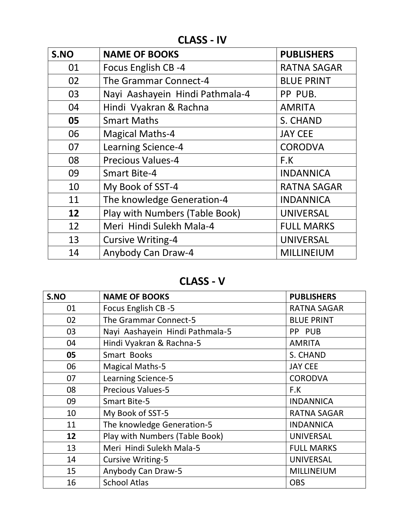**CLASS - IV**

| S.NO | <b>NAME OF BOOKS</b>            | <b>PUBLISHERS</b>  |
|------|---------------------------------|--------------------|
| 01   | Focus English CB-4              | <b>RATNA SAGAR</b> |
| 02   | The Grammar Connect-4           | <b>BLUE PRINT</b>  |
| 03   | Nayi Aashayein Hindi Pathmala-4 | PP PUB.            |
| 04   | Hindi Vyakran & Rachna          | <b>AMRITA</b>      |
| 05   | <b>Smart Maths</b>              | S. CHAND           |
| 06   | <b>Magical Maths-4</b>          | <b>JAY CEE</b>     |
| 07   | <b>Learning Science-4</b>       | <b>CORODVA</b>     |
| 08   | <b>Precious Values-4</b>        | F.K                |
| 09   | <b>Smart Bite-4</b>             | <b>INDANNICA</b>   |
| 10   | My Book of SST-4                | <b>RATNA SAGAR</b> |
| 11   | The knowledge Generation-4      | <b>INDANNICA</b>   |
| 12   | Play with Numbers (Table Book)  | <b>UNIVERSAL</b>   |
| 12   | Meri Hindi Sulekh Mala-4        | <b>FULL MARKS</b>  |
| 13   | <b>Cursive Writing-4</b>        | <b>UNIVERSAL</b>   |
| 14   | Anybody Can Draw-4              | MILLINEIUM         |

**CLASS - V**

| S.NO | <b>NAME OF BOOKS</b>            | <b>PUBLISHERS</b>  |
|------|---------------------------------|--------------------|
| 01   | Focus English CB -5             | <b>RATNA SAGAR</b> |
| 02   | The Grammar Connect-5           | <b>BLUE PRINT</b>  |
| 03   | Nayi Aashayein Hindi Pathmala-5 | PP PUB             |
| 04   | Hindi Vyakran & Rachna-5        | <b>AMRITA</b>      |
| 05   | Smart Books                     | S. CHAND           |
| 06   | <b>Magical Maths-5</b>          | <b>JAY CEE</b>     |
| 07   | <b>Learning Science-5</b>       | <b>CORODVA</b>     |
| 08   | <b>Precious Values-5</b>        | F.K                |
| 09   | <b>Smart Bite-5</b>             | <b>INDANNICA</b>   |
| 10   | My Book of SST-5                | <b>RATNA SAGAR</b> |
| 11   | The knowledge Generation-5      | <b>INDANNICA</b>   |
| 12   | Play with Numbers (Table Book)  | <b>UNIVERSAL</b>   |
| 13   | Meri Hindi Sulekh Mala-5        | <b>FULL MARKS</b>  |
| 14   | <b>Cursive Writing-5</b>        | <b>UNIVERSAL</b>   |
| 15   | Anybody Can Draw-5              | <b>MILLINEIUM</b>  |
| 16   | <b>School Atlas</b>             | <b>OBS</b>         |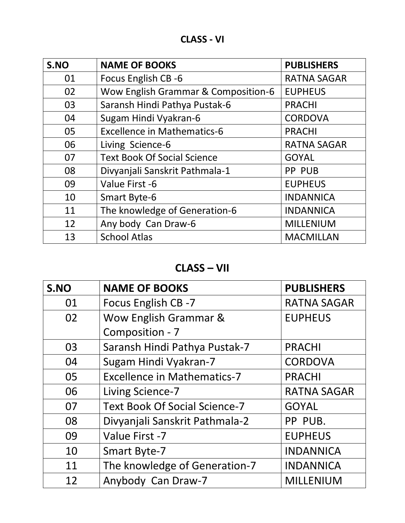| S.NO | <b>NAME OF BOOKS</b>                | <b>PUBLISHERS</b>  |
|------|-------------------------------------|--------------------|
| 01   | Focus English CB -6                 | <b>RATNA SAGAR</b> |
| 02   | Wow English Grammar & Composition-6 | <b>EUPHEUS</b>     |
| 03   | Saransh Hindi Pathya Pustak-6       | <b>PRACHI</b>      |
| 04   | Sugam Hindi Vyakran-6               | <b>CORDOVA</b>     |
| 05   | <b>Excellence in Mathematics-6</b>  | <b>PRACHI</b>      |
| 06   | Living Science-6                    | <b>RATNA SAGAR</b> |
| 07   | <b>Text Book Of Social Science</b>  | <b>GOYAL</b>       |
| 08   | Divyanjali Sanskrit Pathmala-1      | PP PUB             |
| 09   | Value First -6                      | <b>EUPHEUS</b>     |
| 10   | <b>Smart Byte-6</b>                 | <b>INDANNICA</b>   |
| 11   | The knowledge of Generation-6       | <b>INDANNICA</b>   |
| 12   | Any body Can Draw-6                 | <b>MILLENIUM</b>   |
| 13   | <b>School Atlas</b>                 | <b>MACMILLAN</b>   |

## **CLASS – VII**

| S.NO | <b>NAME OF BOOKS</b>                 | <b>PUBLISHERS</b>  |
|------|--------------------------------------|--------------------|
| 01   | Focus English CB -7                  | <b>RATNA SAGAR</b> |
| 02   | Wow English Grammar &                | <b>EUPHEUS</b>     |
|      | Composition - 7                      |                    |
| 03   | Saransh Hindi Pathya Pustak-7        | <b>PRACHI</b>      |
| 04   | Sugam Hindi Vyakran-7                | <b>CORDOVA</b>     |
| 05   | <b>Excellence in Mathematics-7</b>   | <b>PRACHI</b>      |
| 06   | Living Science-7                     | <b>RATNA SAGAR</b> |
| 07   | <b>Text Book Of Social Science-7</b> | <b>GOYAL</b>       |
| 08   | Divyanjali Sanskrit Pathmala-2       | PP PUB.            |
| 09   | Value First -7                       | <b>EUPHEUS</b>     |
| 10   | <b>Smart Byte-7</b>                  | <b>INDANNICA</b>   |
| 11   | The knowledge of Generation-7        | <b>INDANNICA</b>   |
| 12   | Anybody Can Draw-7                   | <b>MILLENIUM</b>   |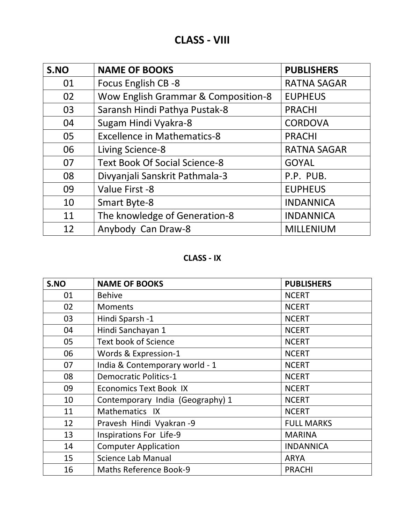| S.NO | <b>NAME OF BOOKS</b>                 | <b>PUBLISHERS</b>  |
|------|--------------------------------------|--------------------|
| 01   | Focus English CB -8                  | <b>RATNA SAGAR</b> |
| 02   | Wow English Grammar & Composition-8  | <b>EUPHEUS</b>     |
| 03   | Saransh Hindi Pathya Pustak-8        | <b>PRACHI</b>      |
| 04   | Sugam Hindi Vyakra-8                 | <b>CORDOVA</b>     |
| 05   | <b>Excellence in Mathematics-8</b>   | <b>PRACHI</b>      |
| 06   | Living Science-8                     | <b>RATNA SAGAR</b> |
| 07   | <b>Text Book Of Social Science-8</b> | <b>GOYAL</b>       |
| 08   | Divyanjali Sanskrit Pathmala-3       | P.P. PUB.          |
| 09   | Value First -8                       | <b>EUPHEUS</b>     |
| 10   | <b>Smart Byte-8</b>                  | <b>INDANNICA</b>   |
| 11   | The knowledge of Generation-8        | <b>INDANNICA</b>   |
| 12   | Anybody Can Draw-8                   | <b>MILLENIUM</b>   |

**CLASS - IX**

| S.NO | <b>NAME OF BOOKS</b>             | <b>PUBLISHERS</b> |
|------|----------------------------------|-------------------|
| 01   | <b>Behive</b>                    | <b>NCERT</b>      |
| 02   | <b>Moments</b>                   | <b>NCERT</b>      |
| 03   | Hindi Sparsh -1                  | <b>NCERT</b>      |
| 04   | Hindi Sanchayan 1                | <b>NCERT</b>      |
| 05   | <b>Text book of Science</b>      | <b>NCERT</b>      |
| 06   | Words & Expression-1             | <b>NCERT</b>      |
| 07   | India & Contemporary world - 1   | <b>NCERT</b>      |
| 08   | <b>Democratic Politics-1</b>     | <b>NCERT</b>      |
| 09   | <b>Economics Text Book IX</b>    | <b>NCERT</b>      |
| 10   | Contemporary India (Geography) 1 | <b>NCERT</b>      |
| 11   | Mathematics IX                   | <b>NCERT</b>      |
| 12   | Pravesh Hindi Vyakran -9         | <b>FULL MARKS</b> |
| 13   | <b>Inspirations For Life-9</b>   | <b>MARINA</b>     |
| 14   | <b>Computer Application</b>      | <b>INDANNICA</b>  |
| 15   | Science Lab Manual               | <b>ARYA</b>       |
| 16   | <b>Maths Reference Book-9</b>    | <b>PRACHI</b>     |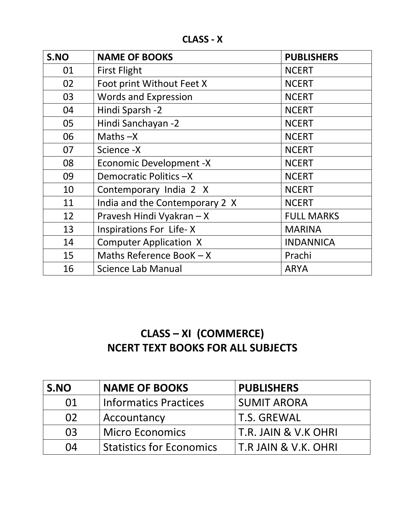**CLASS - X**

| S.NO | <b>NAME OF BOOKS</b>           | <b>PUBLISHERS</b> |
|------|--------------------------------|-------------------|
| 01   | <b>First Flight</b>            | <b>NCERT</b>      |
| 02   | Foot print Without Feet X      | <b>NCERT</b>      |
| 03   | <b>Words and Expression</b>    | <b>NCERT</b>      |
| 04   | Hindi Sparsh -2                | <b>NCERT</b>      |
| 05   | Hindi Sanchayan -2             | <b>NCERT</b>      |
| 06   | Maths $-X$                     | <b>NCERT</b>      |
| 07   | Science -X                     | <b>NCERT</b>      |
| 08   | <b>Economic Development -X</b> | <b>NCERT</b>      |
| 09   | Democratic Politics -X         | <b>NCERT</b>      |
| 10   | Contemporary India 2 X         | <b>NCERT</b>      |
| 11   | India and the Contemporary 2 X | <b>NCERT</b>      |
| 12   | Pravesh Hindi Vyakran - X      | <b>FULL MARKS</b> |
| 13   | <b>Inspirations For Life-X</b> | <b>MARINA</b>     |
| 14   | <b>Computer Application X</b>  | <b>INDANNICA</b>  |
| 15   | Maths Reference BooK $- X$     | Prachi            |
| 16   | Science Lab Manual             | <b>ARYA</b>       |

# **CLASS – XI (COMMERCE) NCERT TEXT BOOKS FOR ALL SUBJECTS**

| S.NO | <b>NAME OF BOOKS</b>            | <b>PUBLISHERS</b>    |
|------|---------------------------------|----------------------|
| 01   | <b>Informatics Practices</b>    | <b>SUMIT ARORA</b>   |
| 02   | Accountancy                     | <b>T.S. GREWAL</b>   |
| 03   | <b>Micro Economics</b>          | T.R. JAIN & V.K OHRI |
| 04   | <b>Statistics for Economics</b> | T.R JAIN & V.K. OHRI |